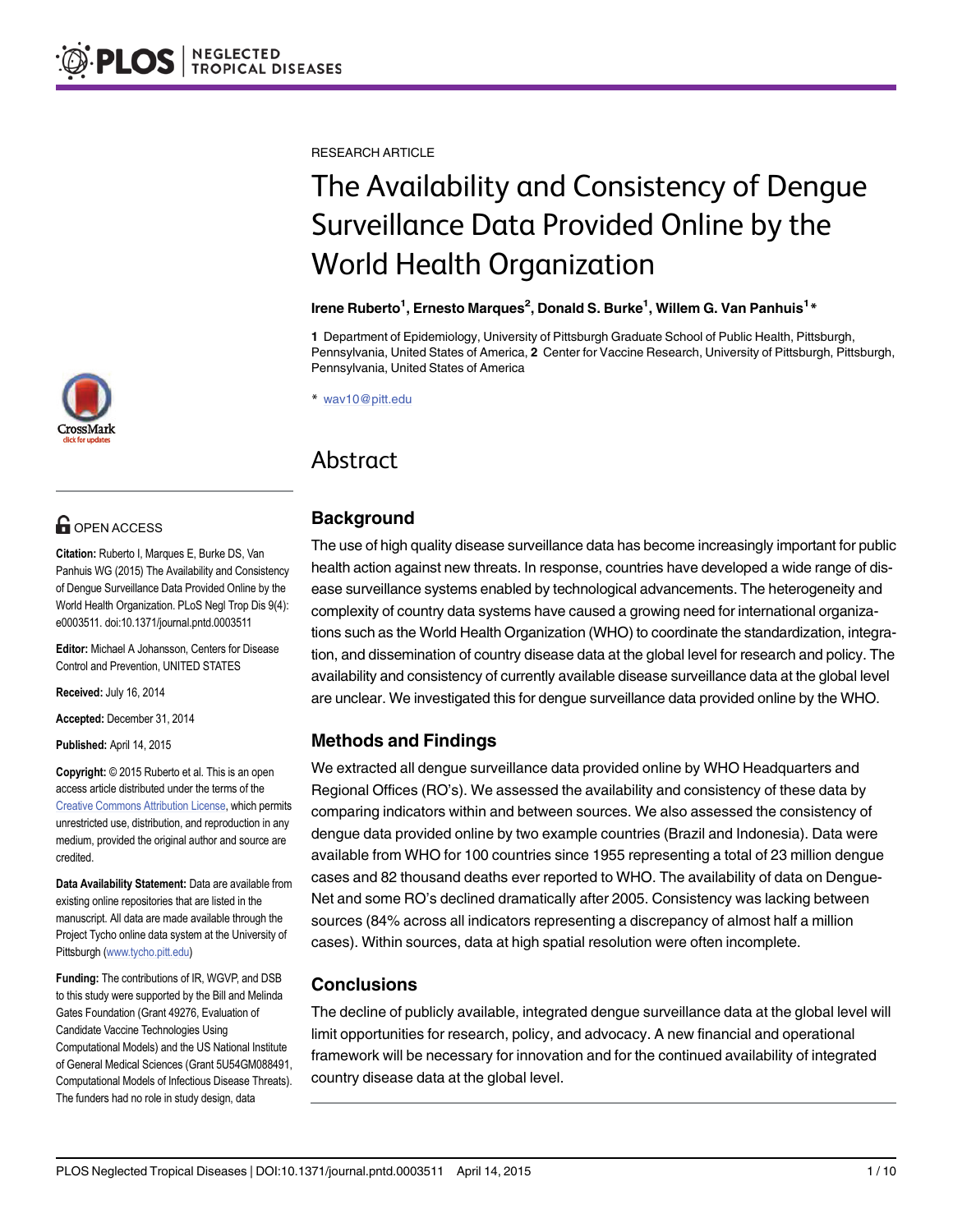# **G** OPEN ACCESS

Citation: Ruberto I, Marques E, Burke DS, Van Panhuis WG (2015) The Availability and Consistency of Dengue Surveillance Data Provided Online by the World Health Organization. PLoS Negl Trop Dis 9(4): e0003511. doi:10.1371/journal.pntd.0003511

Editor: Michael A Johansson, Centers for Disease Control and Prevention, UNITED STATES

Received: July 16, 2014

Accepted: December 31, 2014

Published: April 14, 2015

Copyright: © 2015 Ruberto et al. This is an open access article distributed under the terms of the [Creative Commons Attribution License,](http://creativecommons.org/licenses/by/4.0/) which permits unrestricted use, distribution, and reproduction in any medium, provided the original author and source are credited.

Data Availability Statement: Data are available from existing online repositories that are listed in the manuscript. All data are made available through the Project Tycho online data system at the University of Pittsburgh ([www.tycho.pitt.edu\)](http://www.tycho.pitt.edu)

Funding: The contributions of IR, WGVP, and DSB to this study were supported by the Bill and Melinda Gates Foundation (Grant 49276, Evaluation of Candidate Vaccine Technologies Using Computational Models) and the US National Institute of General Medical Sciences (Grant 5U54GM088491, Computational Models of Infectious Disease Threats). The funders had no role in study design, data

RESEARCH ARTICLE

# The Availability and Consistency of Dengue Surveillance Data Provided Online by the World Health Organization

#### lrene Ruberto<sup>1</sup>, Ernesto Marques<sup>2</sup>, Donald S. Burke<sup>1</sup>, Willem G. Van Panhuis<sup>1</sup>\*

1 Department of Epidemiology, University of Pittsburgh Graduate School of Public Health, Pittsburgh, Pennsylvania, United States of America, 2 Center for Vaccine Research, University of Pittsburgh, Pittsburgh, Pennsylvania, United States of America

\* wav10@pitt.edu

## Abstract

## Background

The use of high quality disease surveillance data has become increasingly important for public health action against new threats. In response, countries have developed a wide range of disease surveillance systems enabled by technological advancements. The heterogeneity and complexity of country data systems have caused a growing need for international organizations such as the World Health Organization (WHO) to coordinate the standardization, integration, and dissemination of country disease data at the global level for research and policy. The availability and consistency of currently available disease surveillance data at the global level are unclear. We investigated this for dengue surveillance data provided online by the WHO.

## Methods and Findings

We extracted all dengue surveillance data provided online by WHO Headquarters and Regional Offices (RO's). We assessed the availability and consistency of these data by comparing indicators within and between sources. We also assessed the consistency of dengue data provided online by two example countries (Brazil and Indonesia). Data were available from WHO for 100 countries since 1955 representing a total of 23 million dengue cases and 82 thousand deaths ever reported to WHO. The availability of data on Dengue-Net and some RO's declined dramatically after 2005. Consistency was lacking between sources (84% across all indicators representing a discrepancy of almost half a million cases). Within sources, data at high spatial resolution were often incomplete.

## **Conclusions**

The decline of publicly available, integrated dengue surveillance data at the global level will limit opportunities for research, policy, and advocacy. A new financial and operational framework will be necessary for innovation and for the continued availability of integrated country disease data at the global level.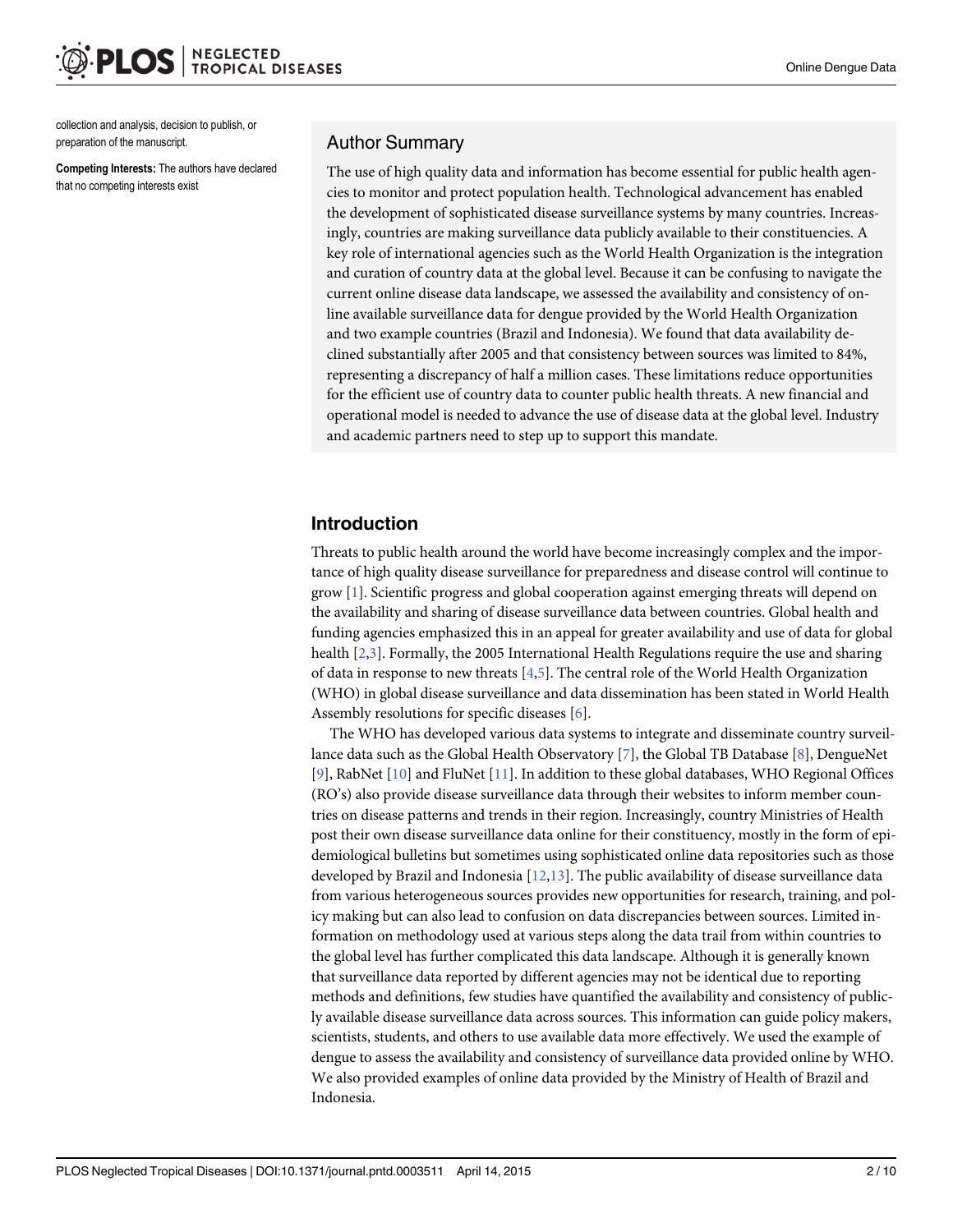<span id="page-1-0"></span>collection and analysis, decision to publish, or preparation of the manuscript.

Competing Interests: The authors have declared that no competing interests exist

#### Author Summary

The use of high quality data and information has become essential for public health agencies to monitor and protect population health. Technological advancement has enabled the development of sophisticated disease surveillance systems by many countries. Increasingly, countries are making surveillance data publicly available to their constituencies. A key role of international agencies such as the World Health Organization is the integration and curation of country data at the global level. Because it can be confusing to navigate the current online disease data landscape, we assessed the availability and consistency of online available surveillance data for dengue provided by the World Health Organization and two example countries (Brazil and Indonesia). We found that data availability declined substantially after 2005 and that consistency between sources was limited to 84%, representing a discrepancy of half a million cases. These limitations reduce opportunities for the efficient use of country data to counter public health threats. A new financial and operational model is needed to advance the use of disease data at the global level. Industry and academic partners need to step up to support this mandate.

## Introduction

Threats to public health around the world have become increasingly complex and the importance of high quality disease surveillance for preparedness and disease control will continue to grow [[1](#page-9-0)]. Scientific progress and global cooperation against emerging threats will depend on the availability and sharing of disease surveillance data between countries. Global health and funding agencies emphasized this in an appeal for greater availability and use of data for global health [\[2,3](#page-9-0)]. Formally, the 2005 International Health Regulations require the use and sharing of data in response to new threats  $[4,5]$  $[4,5]$ . The central role of the World Health Organization (WHO) in global disease surveillance and data dissemination has been stated in World Health Assembly resolutions for specific diseases [\[6](#page-9-0)].

The WHO has developed various data systems to integrate and disseminate country surveillance data such as the Global Health Observatory [\[7\]](#page-9-0), the Global TB Database [\[8](#page-9-0)], DengueNet [\[9](#page-9-0)], RabNet [[10](#page-9-0)] and FluNet [\[11](#page-9-0)]. In addition to these global databases, WHO Regional Offices (RO's) also provide disease surveillance data through their websites to inform member countries on disease patterns and trends in their region. Increasingly, country Ministries of Health post their own disease surveillance data online for their constituency, mostly in the form of epidemiological bulletins but sometimes using sophisticated online data repositories such as those developed by Brazil and Indonesia [[12,13](#page-9-0)]. The public availability of disease surveillance data from various heterogeneous sources provides new opportunities for research, training, and policy making but can also lead to confusion on data discrepancies between sources. Limited information on methodology used at various steps along the data trail from within countries to the global level has further complicated this data landscape. Although it is generally known that surveillance data reported by different agencies may not be identical due to reporting methods and definitions, few studies have quantified the availability and consistency of publicly available disease surveillance data across sources. This information can guide policy makers, scientists, students, and others to use available data more effectively. We used the example of dengue to assess the availability and consistency of surveillance data provided online by WHO. We also provided examples of online data provided by the Ministry of Health of Brazil and Indonesia.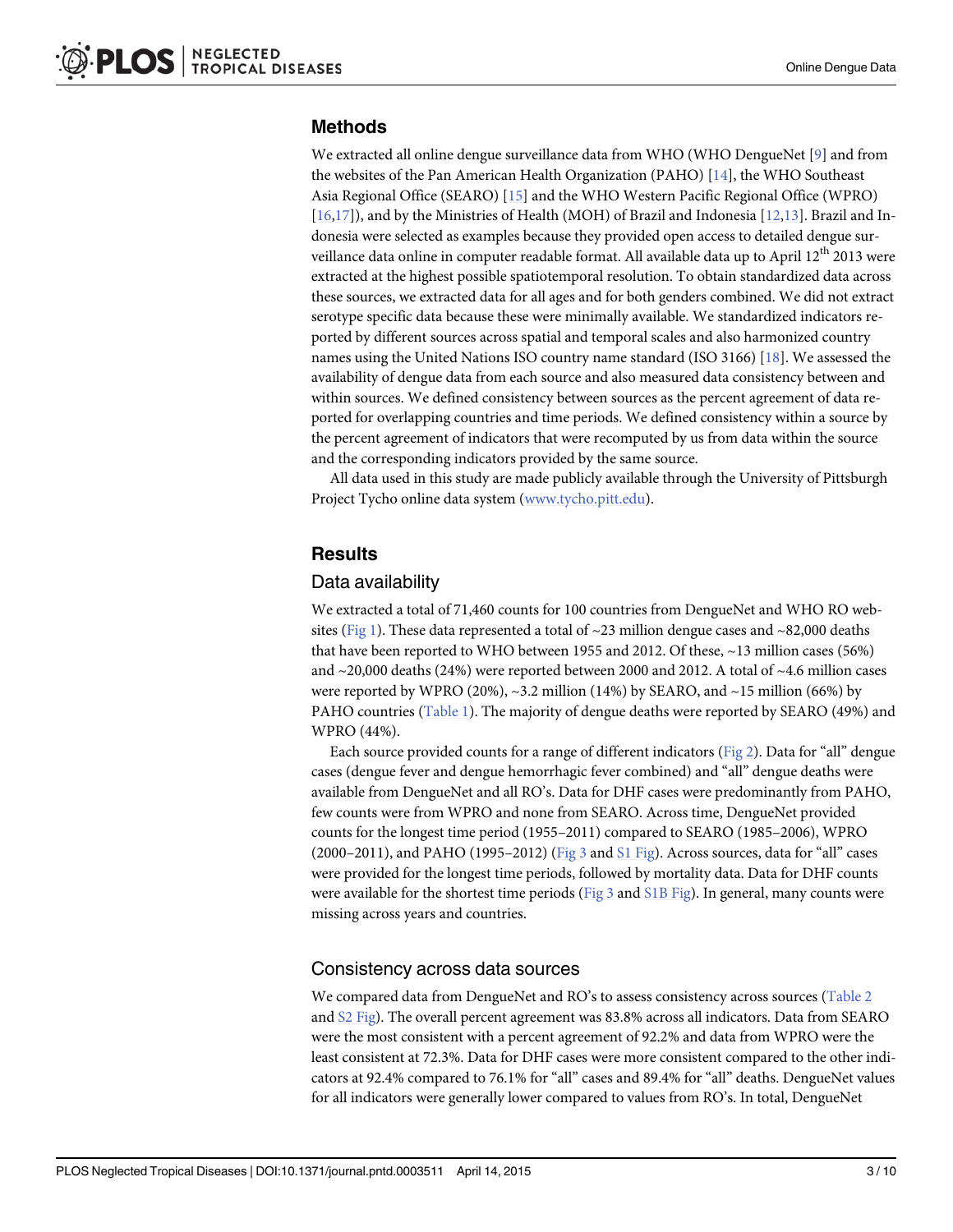## <span id="page-2-0"></span>Methods

We extracted all online dengue surveillance data from WHO (WHO DengueNet [\[9](#page-9-0)] and from the websites of the Pan American Health Organization (PAHO) [\[14\]](#page-9-0), the WHO Southeast Asia Regional Office (SEARO) [\[15](#page-9-0)] and the WHO Western Pacific Regional Office (WPRO) [\[16,17\]](#page-9-0)), and by the Ministries of Health (MOH) of Brazil and Indonesia [[12,13](#page-9-0)]. Brazil and Indonesia were selected as examples because they provided open access to detailed dengue surveillance data online in computer readable format. All available data up to April 12<sup>th</sup> 2013 were extracted at the highest possible spatiotemporal resolution. To obtain standardized data across these sources, we extracted data for all ages and for both genders combined. We did not extract serotype specific data because these were minimally available. We standardized indicators reported by different sources across spatial and temporal scales and also harmonized country names using the United Nations ISO country name standard (ISO 3166) [[18](#page-9-0)]. We assessed the availability of dengue data from each source and also measured data consistency between and within sources. We defined consistency between sources as the percent agreement of data reported for overlapping countries and time periods. We defined consistency within a source by the percent agreement of indicators that were recomputed by us from data within the source and the corresponding indicators provided by the same source.

All data used in this study are made publicly available through the University of Pittsburgh Project Tycho online data system [\(www.tycho.pitt.edu\)](http://www.tycho.pitt.edu).

## **Results**

## Data availability

We extracted a total of 71,460 counts for 100 countries from DengueNet and WHO RO web-sites ([Fig 1](#page-3-0)). These data represented a total of  $\sim$ 23 million dengue cases and  $\sim$ 82,000 deaths that have been reported to WHO between 1955 and 2012. Of these, ~13 million cases (56%) and  $\sim$  20,000 deaths (24%) were reported between 2000 and 2012. A total of  $\sim$  4.6 million cases were reported by WPRO (20%),  $\sim$ 3.2 million (14%) by SEARO, and  $\sim$ 15 million (66%) by PAHO countries [\(Table 1](#page-4-0)). The majority of dengue deaths were reported by SEARO (49%) and WPRO (44%).

Each source provided counts for a range of different indicators ( $Fig 2$ ). Data for "all" dengue cases (dengue fever and dengue hemorrhagic fever combined) and "all" dengue deaths were available from DengueNet and all RO's. Data for DHF cases were predominantly from PAHO, few counts were from WPRO and none from SEARO. Across time, DengueNet provided counts for the longest time period (1955–2011) compared to SEARO (1985–2006), WPRO  $(2000-2011)$ , and PAHO  $(1995-2012)$  ([Fig 3](#page-6-0) and [S1 Fig\)](#page-8-0). Across sources, data for "all" cases were provided for the longest time periods, followed by mortality data. Data for DHF counts were available for the shortest time periods ( $Fig 3$  and  $S1B$  Fig). In general, many counts were missing across years and countries.

## Consistency across data sources

We compared data from DengueNet and RO's to assess consistency across sources [\(Table 2](#page-6-0) and [S2 Fig](#page-8-0)). The overall percent agreement was 83.8% across all indicators. Data from SEARO were the most consistent with a percent agreement of 92.2% and data from WPRO were the least consistent at 72.3%. Data for DHF cases were more consistent compared to the other indicators at 92.4% compared to 76.1% for "all" cases and 89.4% for "all" deaths. DengueNet values for all indicators were generally lower compared to values from RO's. In total, DengueNet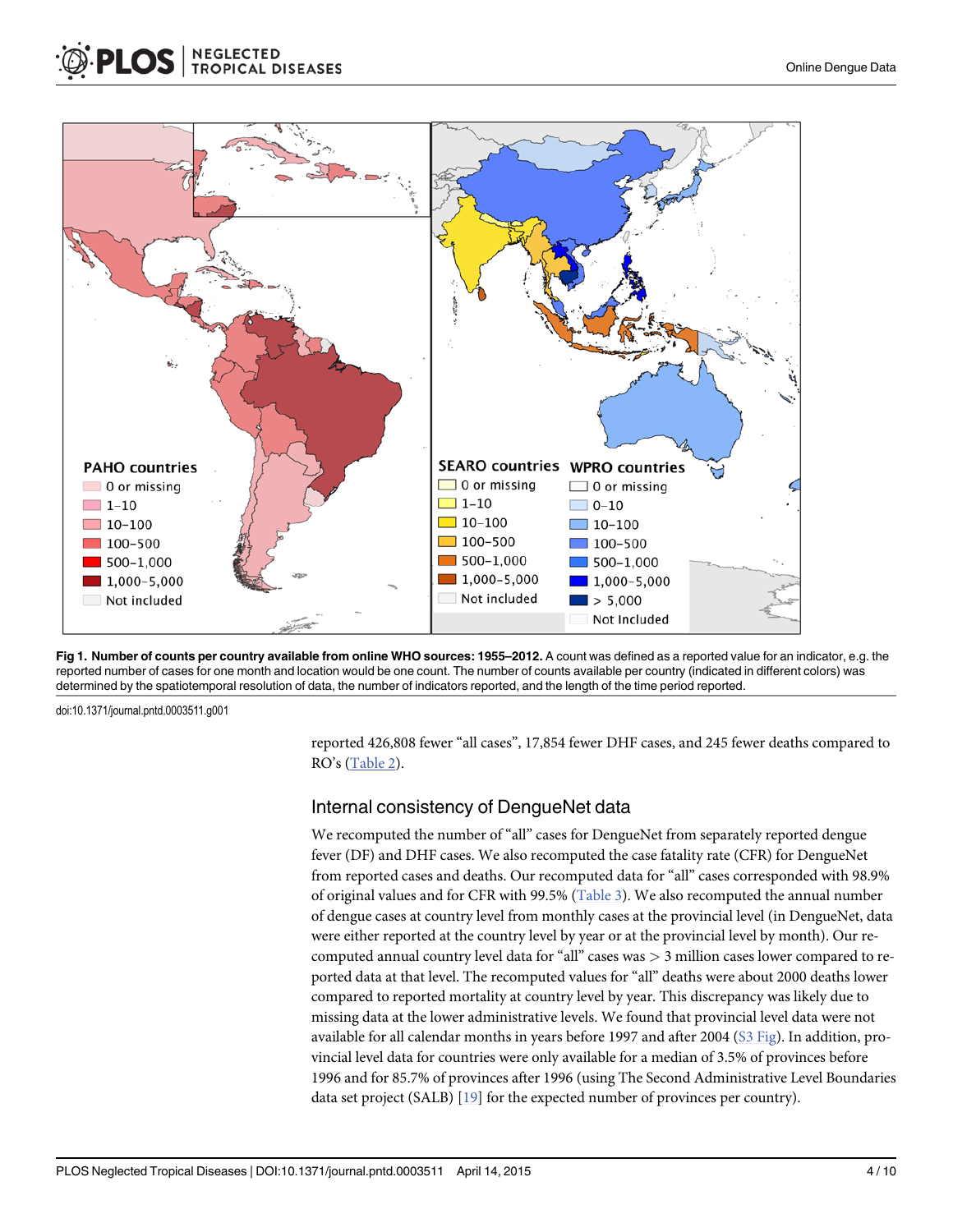<span id="page-3-0"></span>

**NEGLECTED<br>TROPICAL DISEASES** 



doi:10.1371/journal.pntd.0003511.g001

reported 426,808 fewer "all cases", 17,854 fewer DHF cases, and 245 fewer deaths compared to RO's [\(Table 2](#page-6-0)).

#### Internal consistency of DengueNet data

We recomputed the number of "all" cases for DengueNet from separately reported dengue fever (DF) and DHF cases. We also recomputed the case fatality rate (CFR) for DengueNet from reported cases and deaths. Our recomputed data for "all" cases corresponded with 98.9% of original values and for CFR with 99.5% ([Table 3\)](#page-7-0). We also recomputed the annual number of dengue cases at country level from monthly cases at the provincial level (in DengueNet, data were either reported at the country level by year or at the provincial level by month). Our recomputed annual country level data for "all" cases was  $>$  3 million cases lower compared to reported data at that level. The recomputed values for "all" deaths were about 2000 deaths lower compared to reported mortality at country level by year. This discrepancy was likely due to missing data at the lower administrative levels. We found that provincial level data were not available for all calendar months in years before 1997 and after 2004 ([S3 Fig\)](#page-8-0). In addition, provincial level data for countries were only available for a median of 3.5% of provinces before 1996 and for 85.7% of provinces after 1996 (using The Second Administrative Level Boundaries data set project (SALB) [\[19\]](#page-9-0) for the expected number of provinces per country).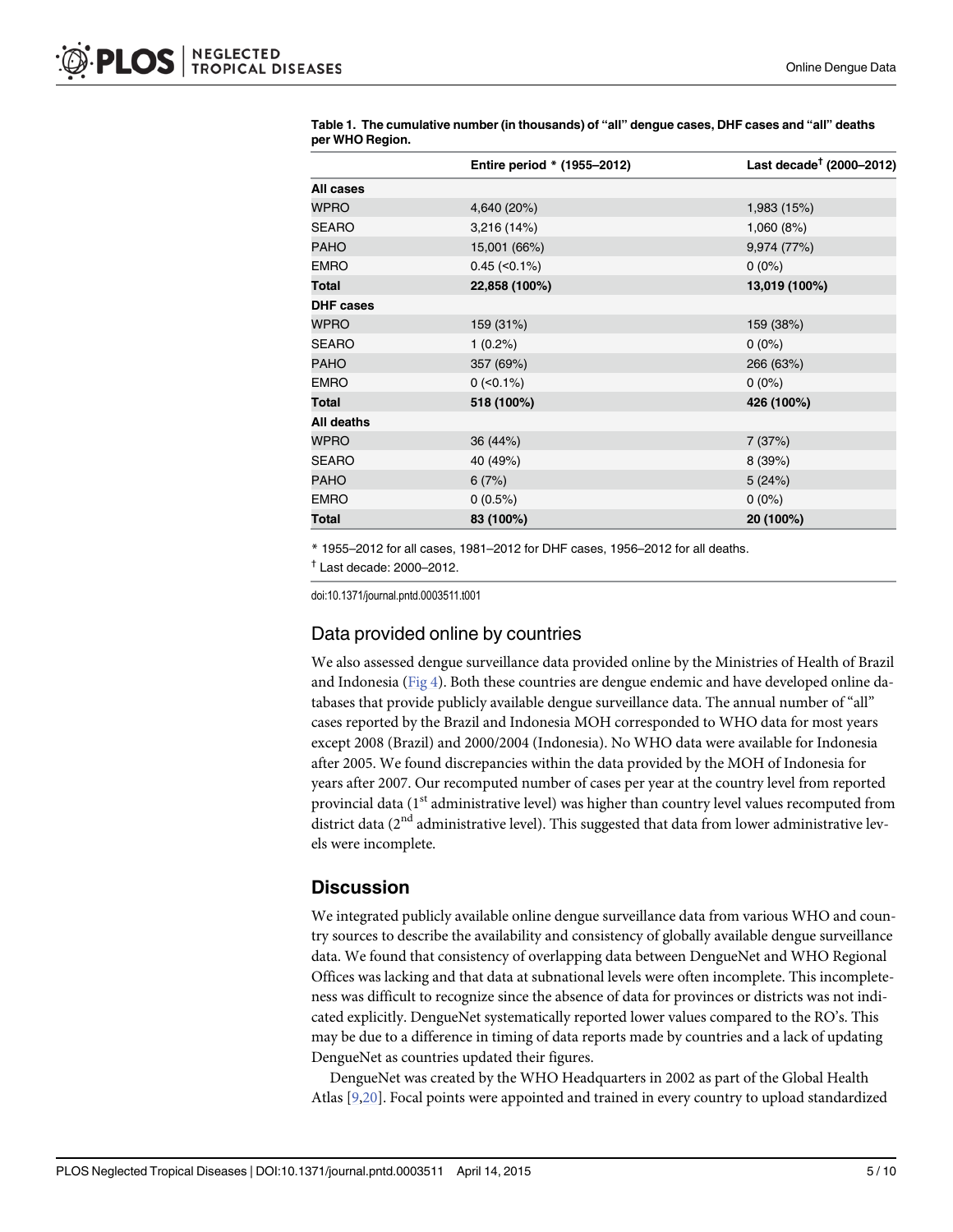|                  | Entire period * (1955-2012) | Last decade <sup>†</sup> (2000–2012) |  |
|------------------|-----------------------------|--------------------------------------|--|
| All cases        |                             |                                      |  |
| <b>WPRO</b>      | 4,640 (20%)                 | 1,983 (15%)                          |  |
| <b>SEARO</b>     | 3,216 (14%)                 | 1,060 (8%)                           |  |
| <b>PAHO</b>      | 15,001 (66%)                | 9,974 (77%)                          |  |
| <b>EMRO</b>      | $0.45$ (< $0.1\%$ )         | $0(0\%)$                             |  |
| Total            | 22,858 (100%)               | 13,019 (100%)                        |  |
| <b>DHF cases</b> |                             |                                      |  |
| <b>WPRO</b>      | 159 (31%)                   | 159 (38%)                            |  |
| <b>SEARO</b>     | $1(0.2\%)$                  | $0(0\%)$                             |  |
| <b>PAHO</b>      | 357 (69%)                   | 266 (63%)                            |  |
| <b>EMRO</b>      | $0$ (<0.1%)                 | $0(0\%)$                             |  |
| Total            | 518 (100%)                  | 426 (100%)                           |  |
| All deaths       |                             |                                      |  |
| WPRO             | 36 (44%)                    | 7(37%)                               |  |
| <b>SEARO</b>     | 40 (49%)                    | 8(39%)                               |  |
| <b>PAHO</b>      | 6(7%)                       | 5(24%)                               |  |
| <b>EMRO</b>      | 0(0.5%)                     | $0(0\%)$                             |  |
| Total            | 83 (100%)                   | 20 (100%)                            |  |

<span id="page-4-0"></span>[Table 1.](#page-2-0) The cumulative number (in thousands) of "all" dengue cases, DHF cases and "all" deaths per WHO Region.

\* 1955–2012 for all cases, 1981–2012 for DHF cases, 1956–2012 for all deaths.

 $<sup>†</sup>$  Last decade: 2000–2012.</sup>

doi:10.1371/journal.pntd.0003511.t001

#### Data provided online by countries

We also assessed dengue surveillance data provided online by the Ministries of Health of Brazil and Indonesia (Fig  $4$ ). Both these countries are dengue endemic and have developed online databases that provide publicly available dengue surveillance data. The annual number of "all" cases reported by the Brazil and Indonesia MOH corresponded to WHO data for most years except 2008 (Brazil) and 2000/2004 (Indonesia). No WHO data were available for Indonesia after 2005. We found discrepancies within the data provided by the MOH of Indonesia for years after 2007. Our recomputed number of cases per year at the country level from reported provincial data ( $1<sup>st</sup>$  administrative level) was higher than country level values recomputed from district data ( $2<sup>nd</sup>$  administrative level). This suggested that data from lower administrative levels were incomplete.

## **Discussion**

We integrated publicly available online dengue surveillance data from various WHO and country sources to describe the availability and consistency of globally available dengue surveillance data. We found that consistency of overlapping data between DengueNet and WHO Regional Offices was lacking and that data at subnational levels were often incomplete. This incompleteness was difficult to recognize since the absence of data for provinces or districts was not indicated explicitly. DengueNet systematically reported lower values compared to the RO's. This may be due to a difference in timing of data reports made by countries and a lack of updating DengueNet as countries updated their figures.

DengueNet was created by the WHO Headquarters in 2002 as part of the Global Health Atlas [\[9,20\]](#page-9-0). Focal points were appointed and trained in every country to upload standardized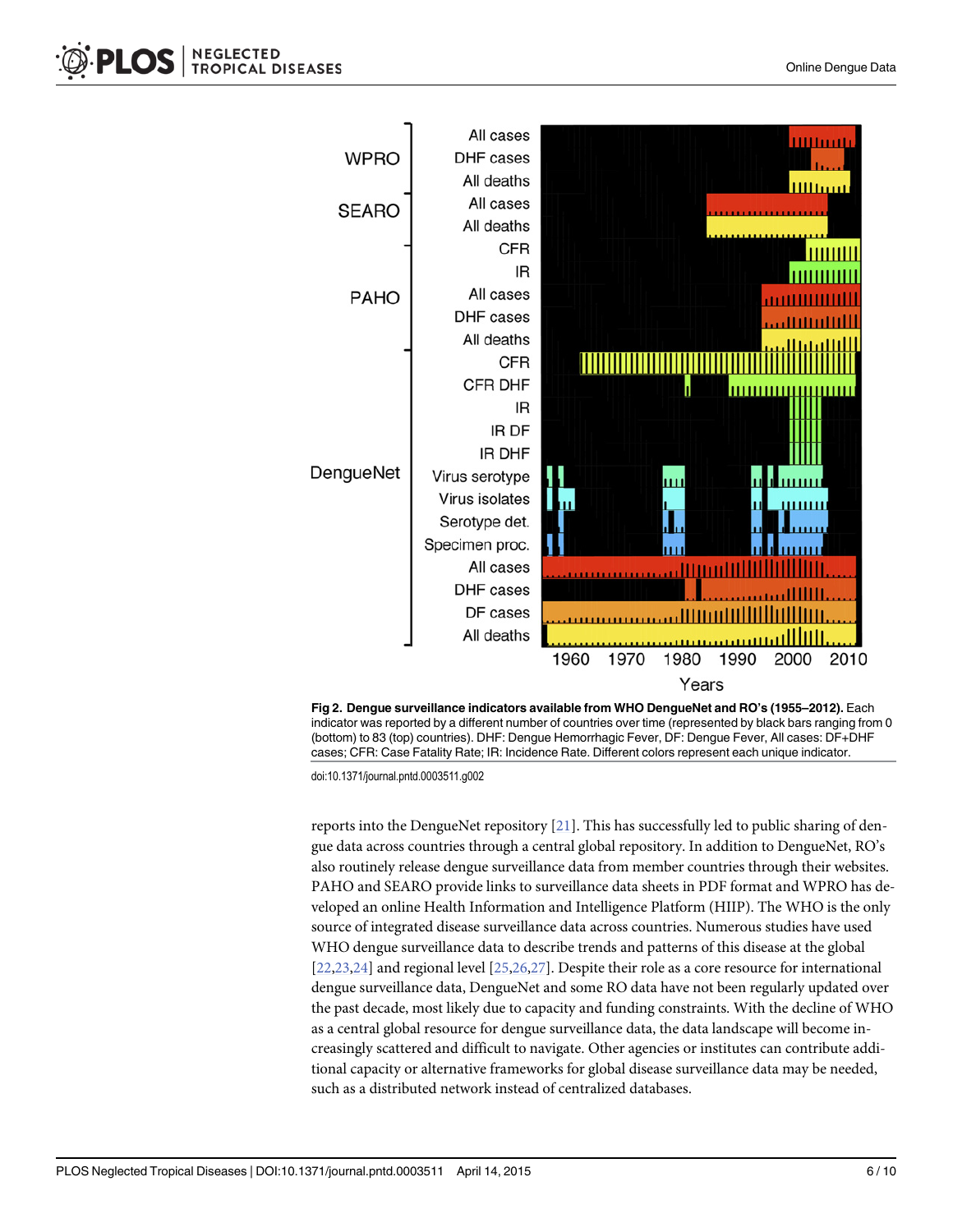<span id="page-5-0"></span>



doi:10.1371/journal.pntd.0003511.g002

reports into the DengueNet repository  $[21]$ . This has successfully led to public sharing of dengue data across countries through a central global repository. In addition to DengueNet, RO's also routinely release dengue surveillance data from member countries through their websites. PAHO and SEARO provide links to surveillance data sheets in PDF format and WPRO has developed an online Health Information and Intelligence Platform (HIIP). The WHO is the only source of integrated disease surveillance data across countries. Numerous studies have used WHO dengue surveillance data to describe trends and patterns of this disease at the global [\[22,23,24\]](#page-9-0) and regional level [[25,26,27\]](#page-9-0). Despite their role as a core resource for international dengue surveillance data, DengueNet and some RO data have not been regularly updated over the past decade, most likely due to capacity and funding constraints. With the decline of WHO as a central global resource for dengue surveillance data, the data landscape will become increasingly scattered and difficult to navigate. Other agencies or institutes can contribute additional capacity or alternative frameworks for global disease surveillance data may be needed, such as a distributed network instead of centralized databases.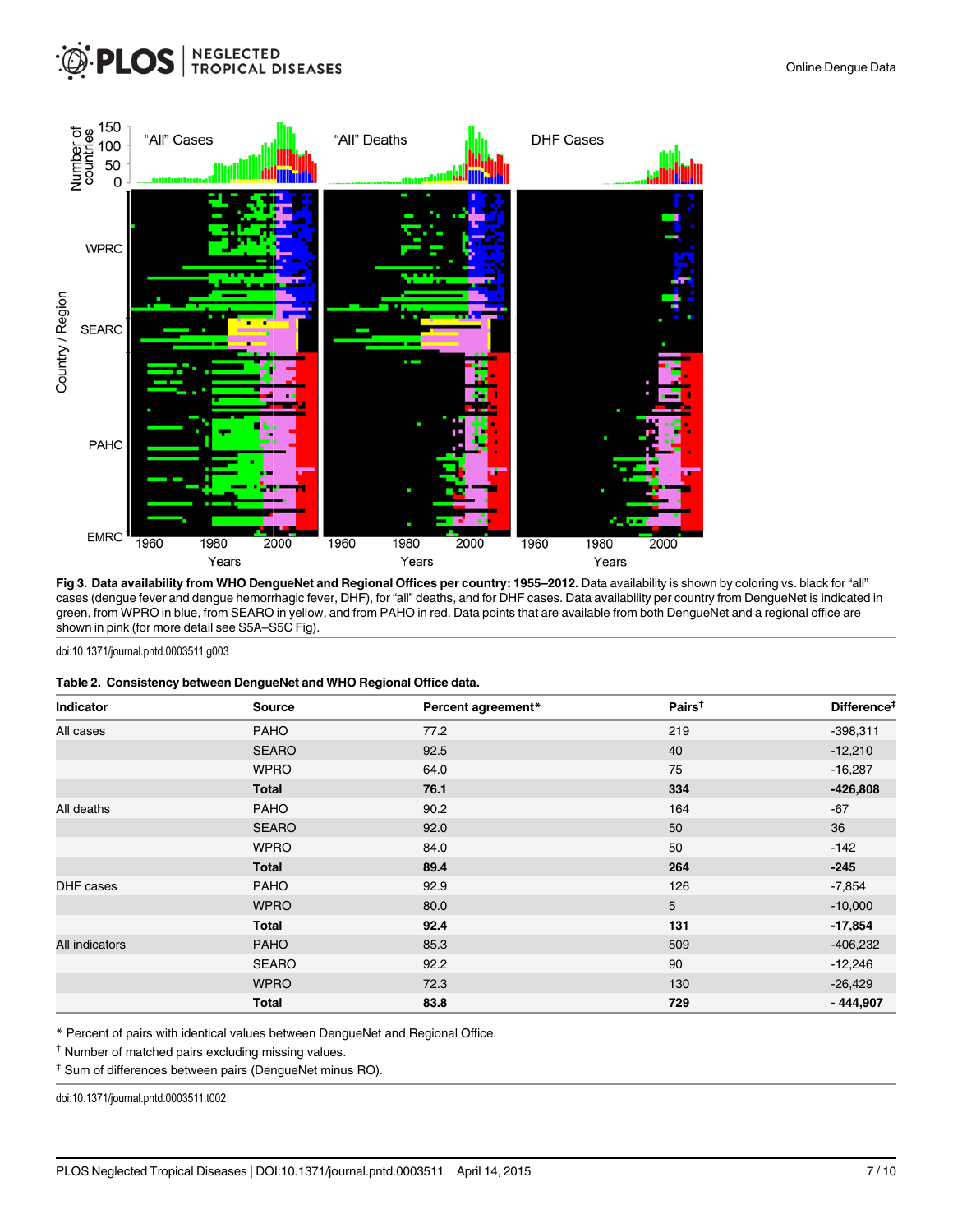## <span id="page-6-0"></span>**NEGLECTED<br>TROPICAL DISEASES PLOS**



[Fig 3. D](#page-2-0)ata availability from WHO DengueNet and Regional Offices per country: 1955-2012. Data availability is shown by coloring vs. black for "all" cases (dengue fever and dengue hemorrhagic fever, DHF), for "all" deaths, and for DHF cases. Data availability per country from DengueNet is indicated in green, from WPRO in blue, from SEARO in yellow, and from PAHO in red. Data points that are available from both DengueNet and a regional office are shown in pink (for more detail see S5A–S5C Fig).

#### doi:10.1371/journal.pntd.0003511.g003

|  | Table 2. Consistency between DengueNet and WHO Regional Office data. |  |  |
|--|----------------------------------------------------------------------|--|--|
|--|----------------------------------------------------------------------|--|--|

| Indicator      | <b>Source</b> | Percent agreement* | Pairs <sup>t</sup> | Difference <sup>#</sup> |
|----------------|---------------|--------------------|--------------------|-------------------------|
| All cases      | <b>PAHO</b>   | 77.2               | 219                | $-398,311$              |
|                | <b>SEARO</b>  | 92.5               | 40                 | $-12,210$               |
|                | <b>WPRO</b>   | 64.0               | 75                 | $-16,287$               |
|                | <b>Total</b>  | 76.1               | 334                | $-426,808$              |
| All deaths     | <b>PAHO</b>   | 90.2               | 164                | $-67$                   |
|                | <b>SEARO</b>  | 92.0               | 50                 | 36                      |
|                | <b>WPRO</b>   | 84.0               | 50                 | $-142$                  |
|                | <b>Total</b>  | 89.4               | 264                | $-245$                  |
| DHF cases      | <b>PAHO</b>   | 92.9               | 126                | $-7,854$                |
|                | <b>WPRO</b>   | 80.0               | 5                  | $-10,000$               |
|                | <b>Total</b>  | 92.4               | 131                | $-17,854$               |
| All indicators | <b>PAHO</b>   | 85.3               | 509                | $-406,232$              |
|                | <b>SEARO</b>  | 92.2               | 90                 | $-12,246$               |
|                | <b>WPRO</b>   | 72.3               | 130                | $-26,429$               |
|                | <b>Total</b>  | 83.8               | 729                | $-444,907$              |

\* Percent of pairs with identical values between DengueNet and Regional Office.

‡ Sum of differences between pairs (DengueNet minus RO).

doi:10.1371/journal.pntd.0003511.t002

<sup>†</sup> Number of matched pairs excluding missing values.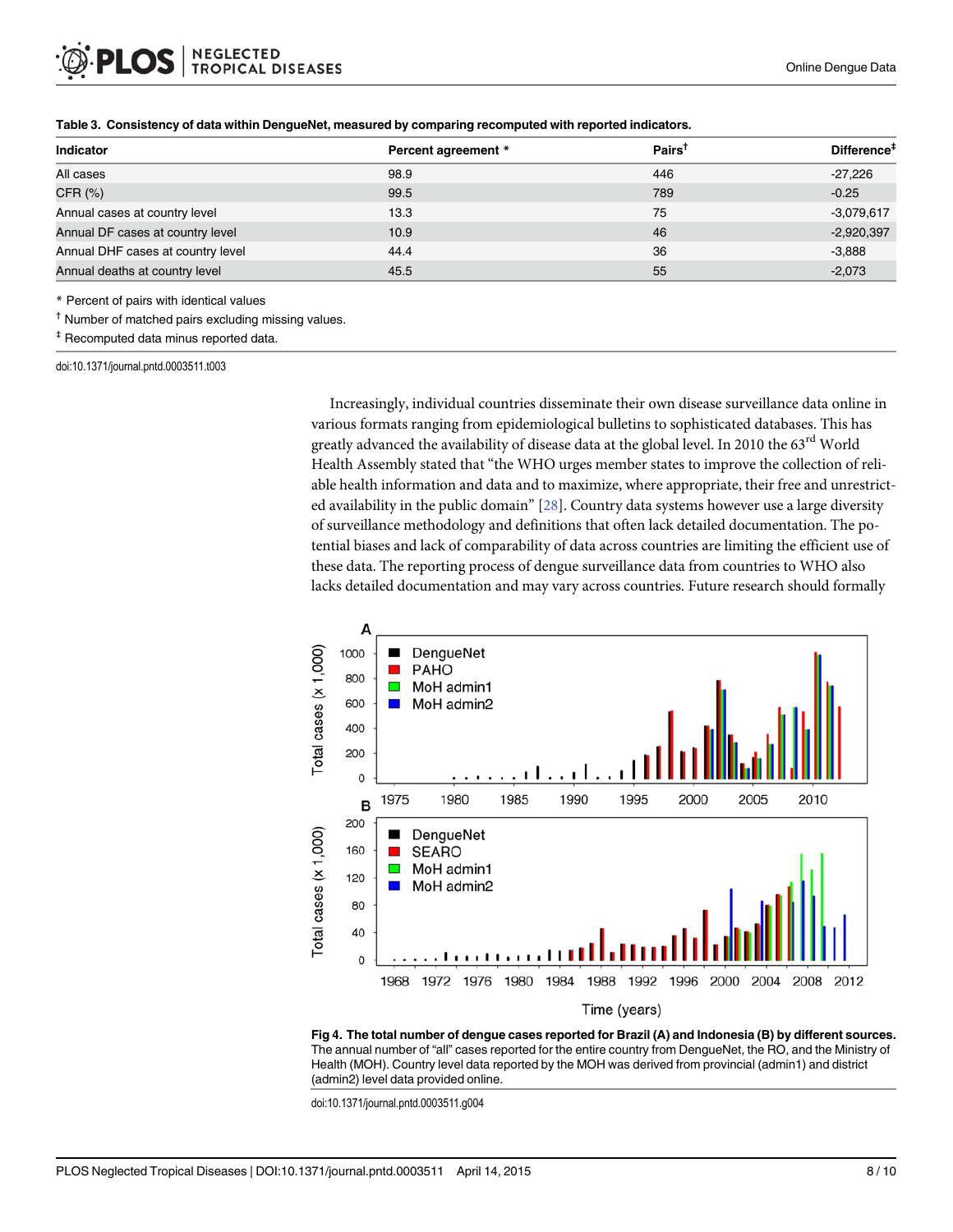| <b>Indicator</b>                  | Percent agreement * | $Pairs^{\dagger}$ | Difference <sup>#</sup> |
|-----------------------------------|---------------------|-------------------|-------------------------|
| All cases                         | 98.9                | 446               | $-27,226$               |
| CFR (%)                           | 99.5                | 789               | $-0.25$                 |
| Annual cases at country level     | 13.3                | 75                | $-3,079,617$            |
| Annual DF cases at country level  | 10.9                | 46                | $-2,920,397$            |
| Annual DHF cases at country level | 44.4                | 36                | $-3,888$                |
| Annual deaths at country level    | 45.5                | 55                | $-2,073$                |

#### <span id="page-7-0"></span>[Table 3.](#page-3-0) Consistency of data within DengueNet, measured by comparing recomputed with reported indicators.

\* Percent of pairs with identical values

† Number of matched pairs excluding missing values.

‡ Recomputed data minus reported data.

doi:10.1371/journal.pntd.0003511.t003

Increasingly, individual countries disseminate their own disease surveillance data online in various formats ranging from epidemiological bulletins to sophisticated databases. This has greatly advanced the availability of disease data at the global level. In 2010 the 63<sup>rd</sup> World Health Assembly stated that "the WHO urges member states to improve the collection of reliable health information and data and to maximize, where appropriate, their free and unrestricted availability in the public domain"  $[28]$ . Country data systems however use a large diversity of surveillance methodology and definitions that often lack detailed documentation. The potential biases and lack of comparability of data across countries are limiting the efficient use of these data. The reporting process of dengue surveillance data from countries to WHO also lacks detailed documentation and may vary across countries. Future research should formally



[Fig 4. T](#page-4-0)he total number of dengue cases reported for Brazil (A) and Indonesia (B) by different sources. The annual number of "all" cases reported for the entire country from DengueNet, the RO, and the Ministry of Health (MOH). Country level data reported by the MOH was derived from provincial (admin1) and district (admin2) level data provided online.

doi:10.1371/journal.pntd.0003511.g004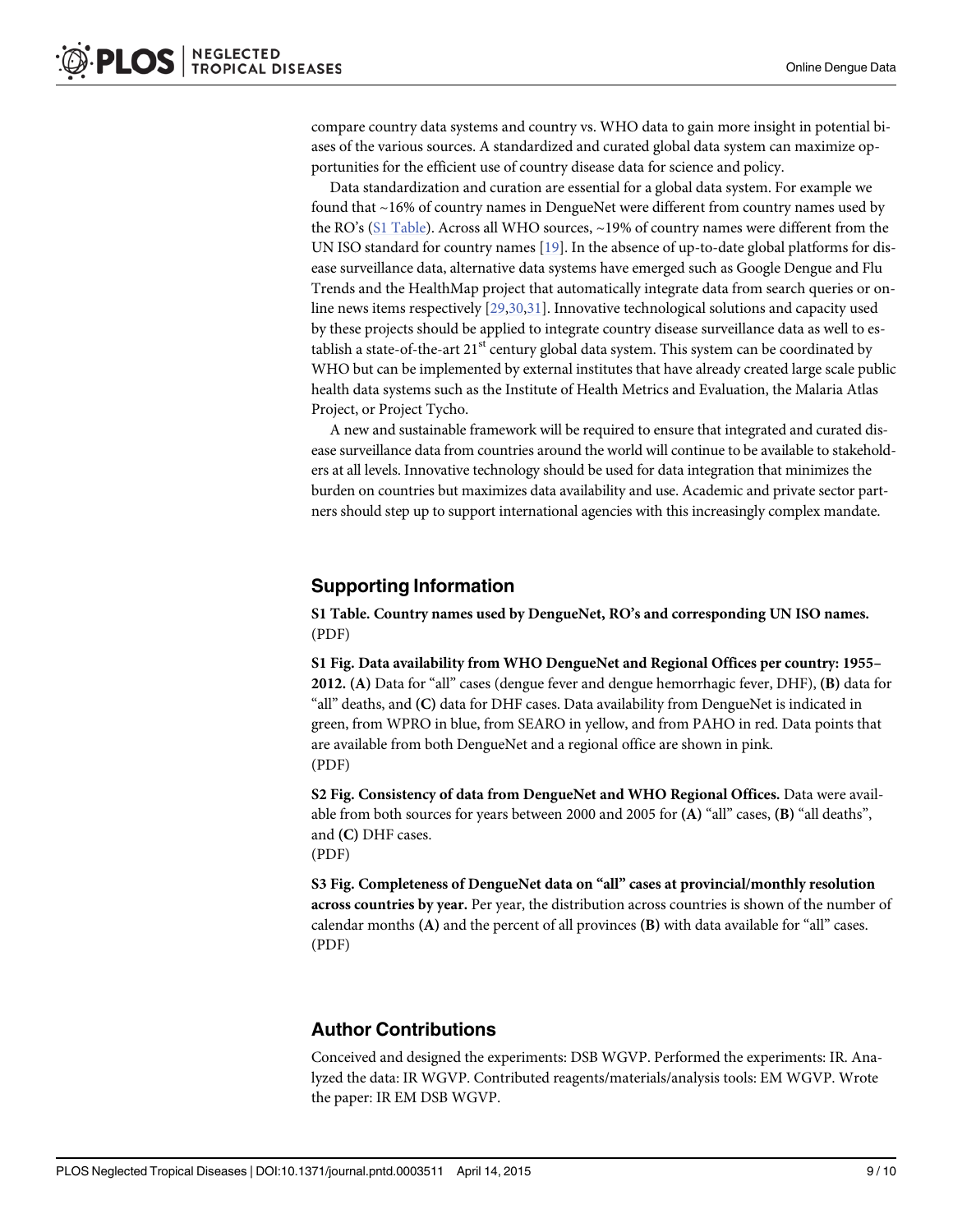<span id="page-8-0"></span>compare country data systems and country vs. WHO data to gain more insight in potential biases of the various sources. A standardized and curated global data system can maximize opportunities for the efficient use of country disease data for science and policy.

Data standardization and curation are essential for a global data system. For example we found that ~16% of country names in DengueNet were different from country names used by the RO's (S1 Table). Across all WHO sources,  $\sim$ 19% of country names were different from the UN ISO standard for country names [[19](#page-9-0)]. In the absence of up-to-date global platforms for disease surveillance data, alternative data systems have emerged such as Google Dengue and Flu Trends and the HealthMap project that automatically integrate data from search queries or online news items respectively [\[29,30](#page-9-0),[31](#page-9-0)]. Innovative technological solutions and capacity used by these projects should be applied to integrate country disease surveillance data as well to establish a state-of-the-art  $21<sup>st</sup>$  century global data system. This system can be coordinated by WHO but can be implemented by external institutes that have already created large scale public health data systems such as the Institute of Health Metrics and Evaluation, the Malaria Atlas Project, or Project Tycho.

A new and sustainable framework will be required to ensure that integrated and curated disease surveillance data from countries around the world will continue to be available to stakeholders at all levels. Innovative technology should be used for data integration that minimizes the burden on countries but maximizes data availability and use. Academic and private sector partners should step up to support international agencies with this increasingly complex mandate.

#### Supporting Information

[S1 Table](http://www.plosone.org/article/fetchSingleRepresentation.action?uri=info:doi/10.1371/journal.pntd.0003511.s001). Country names used by DengueNet, RO's and corresponding UN ISO names. (PDF)

[S1 Fig.](http://www.plosone.org/article/fetchSingleRepresentation.action?uri=info:doi/10.1371/journal.pntd.0003511.s002) Data availability from WHO DengueNet and Regional Offices per country: 1955– 2012. (A) Data for "all" cases (dengue fever and dengue hemorrhagic fever, DHF), (B) data for "all" deaths, and (C) data for DHF cases. Data availability from DengueNet is indicated in green, from WPRO in blue, from SEARO in yellow, and from PAHO in red. Data points that are available from both DengueNet and a regional office are shown in pink. (PDF)

[S2 Fig.](http://www.plosone.org/article/fetchSingleRepresentation.action?uri=info:doi/10.1371/journal.pntd.0003511.s003) Consistency of data from DengueNet and WHO Regional Offices. Data were available from both sources for years between 2000 and 2005 for (A) "all" cases, (B) "all deaths", and (C) DHF cases.

(PDF)

[S3 Fig.](http://www.plosone.org/article/fetchSingleRepresentation.action?uri=info:doi/10.1371/journal.pntd.0003511.s004) Completeness of DengueNet data on "all" cases at provincial/monthly resolution across countries by year. Per year, the distribution across countries is shown of the number of calendar months (A) and the percent of all provinces (B) with data available for "all" cases. (PDF)

## Author Contributions

Conceived and designed the experiments: DSB WGVP. Performed the experiments: IR. Analyzed the data: IR WGVP. Contributed reagents/materials/analysis tools: EM WGVP. Wrote the paper: IR EM DSB WGVP.